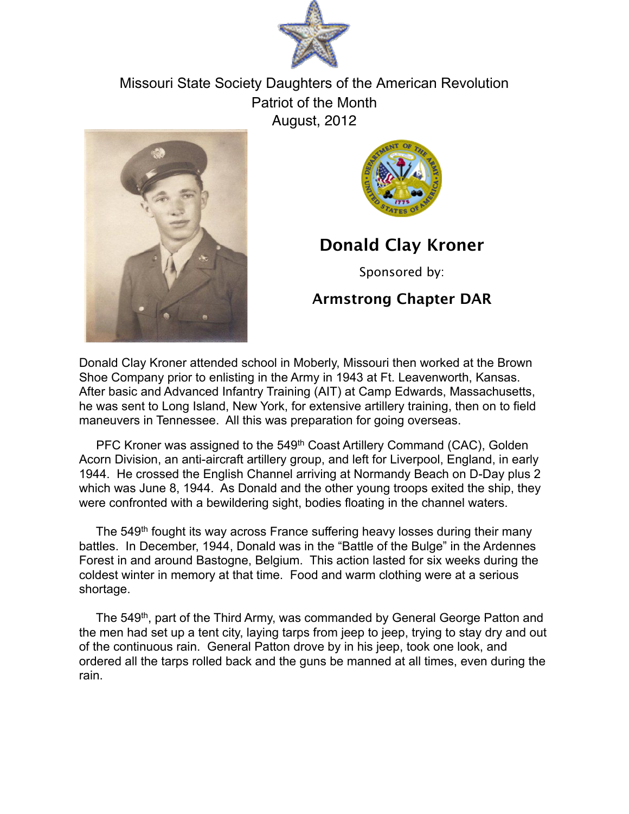

Missouri State Society Daughters of the American Revolution Patriot of the Month August, 2012





## **Donald Clay Kroner**

Sponsored by:

## **Armstrong Chapter DAR**

Donald Clay Kroner attended school in Moberly, Missouri then worked at the Brown Shoe Company prior to enlisting in the Army in 1943 at Ft. Leavenworth, Kansas. After basic and Advanced Infantry Training (AIT) at Camp Edwards, Massachusetts, he was sent to Long Island, New York, for extensive artillery training, then on to field maneuvers in Tennessee. All this was preparation for going overseas.

PFC Kroner was assigned to the 549<sup>th</sup> Coast Artillery Command (CAC), Golden Acorn Division, an anti-aircraft artillery group, and left for Liverpool, England, in early 1944. He crossed the English Channel arriving at Normandy Beach on D-Day plus 2 which was June 8, 1944. As Donald and the other young troops exited the ship, they were confronted with a bewildering sight, bodies floating in the channel waters.

The 549<sup>th</sup> fought its way across France suffering heavy losses during their many battles. In December, 1944, Donald was in the "Battle of the Bulge" in the Ardennes Forest in and around Bastogne, Belgium. This action lasted for six weeks during the coldest winter in memory at that time. Food and warm clothing were at a serious shortage.

The 549<sup>th</sup>, part of the Third Army, was commanded by General George Patton and the men had set up a tent city, laying tarps from jeep to jeep, trying to stay dry and out of the continuous rain. General Patton drove by in his jeep, took one look, and ordered all the tarps rolled back and the guns be manned at all times, even during the rain.